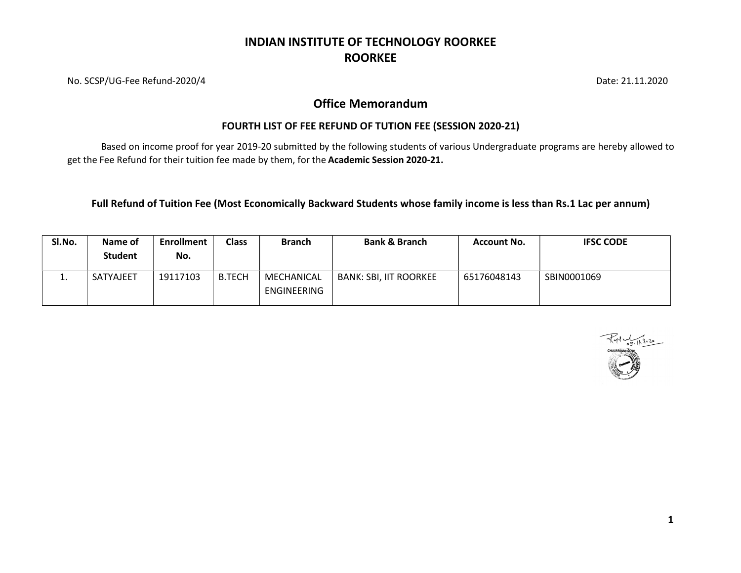No. SCSP/UG-Fee Refund-2020/4 Date: 21.11.2020

#### Office Memorandum

#### FOURTH LIST OF FEE REFUND OF TUTION FEE (SESSION 2020-21)

Based on income proof for year 2019-20 submitted by the following students of various Undergraduate programs are hereby allowed to get the Fee Refund for their tuition fee made by them, for the Academic Session 2020-21.

Full Refund of Tuition Fee (Most Economically Backward Students whose family income is less than Rs.1 Lac per annum)

| SI.No. | Name of<br><b>Student</b> | <b>Enrollment</b><br>No. | <b>Class</b>  | <b>Branch</b>                    | <b>Bank &amp; Branch</b> | <b>Account No.</b> | <b>IFSC CODE</b> |
|--------|---------------------------|--------------------------|---------------|----------------------------------|--------------------------|--------------------|------------------|
| . .    | <b>SATYAJEET</b>          | 19117103                 | <b>B.TECH</b> | MECHANICAL<br><b>ENGINEERING</b> | BANK: SBI, IIT ROORKEE   | 65176048143        | SBIN0001069      |

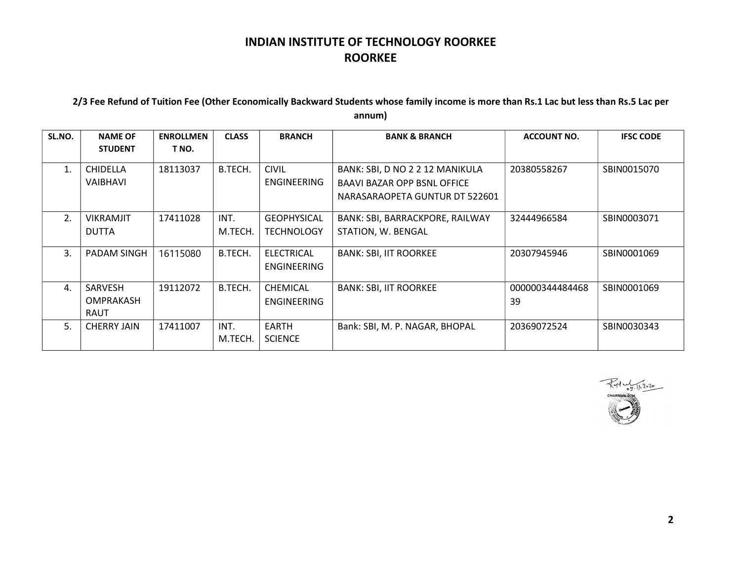#### 2/3 Fee Refund of Tuition Fee (Other Economically Backward Students whose family income is more than Rs.1 Lac but less than Rs.5 Lac per annum)

| SL.NO.         | <b>NAME OF</b>                      | <b>ENROLLMEN</b> | <b>CLASS</b>    | <b>BRANCH</b>                           | <b>BANK &amp; BRANCH</b>                                                                                | <b>ACCOUNT NO.</b>    | <b>IFSC CODE</b> |
|----------------|-------------------------------------|------------------|-----------------|-----------------------------------------|---------------------------------------------------------------------------------------------------------|-----------------------|------------------|
|                | <b>STUDENT</b>                      | T NO.            |                 |                                         |                                                                                                         |                       |                  |
| $\mathbf{1}$ . | <b>CHIDELLA</b><br>VAIBHAVI         | 18113037         | B.TECH.         | <b>CIVIL</b><br><b>ENGINEERING</b>      | BANK: SBI, D NO 2 2 12 MANIKULA<br><b>BAAVI BAZAR OPP BSNL OFFICE</b><br>NARASARAOPETA GUNTUR DT 522601 | 20380558267           | SBIN0015070      |
| 2.             | <b>VIKRAMJIT</b><br><b>DUTTA</b>    | 17411028         | INT.<br>M.TECH. | <b>GEOPHYSICAL</b><br><b>TECHNOLOGY</b> | BANK: SBI, BARRACKPORE, RAILWAY<br>STATION, W. BENGAL                                                   | 32444966584           | SBIN0003071      |
| 3.             | PADAM SINGH                         | 16115080         | B.TECH.         | ELECTRICAL<br><b>ENGINEERING</b>        | <b>BANK: SBI, IIT ROORKEE</b>                                                                           | 20307945946           | SBIN0001069      |
| 4.             | SARVESH<br>OMPRAKASH<br><b>RAUT</b> | 19112072         | B.TECH.         | CHEMICAL<br><b>ENGINEERING</b>          | <b>BANK: SBI, IIT ROORKEE</b>                                                                           | 000000344484468<br>39 | SBIN0001069      |
| 5.             | <b>CHERRY JAIN</b>                  | 17411007         | INT.<br>M.TECH. | <b>EARTH</b><br><b>SCIENCE</b>          | Bank: SBI, M. P. NAGAR, BHOPAL                                                                          | 20369072524           | SBIN0030343      |

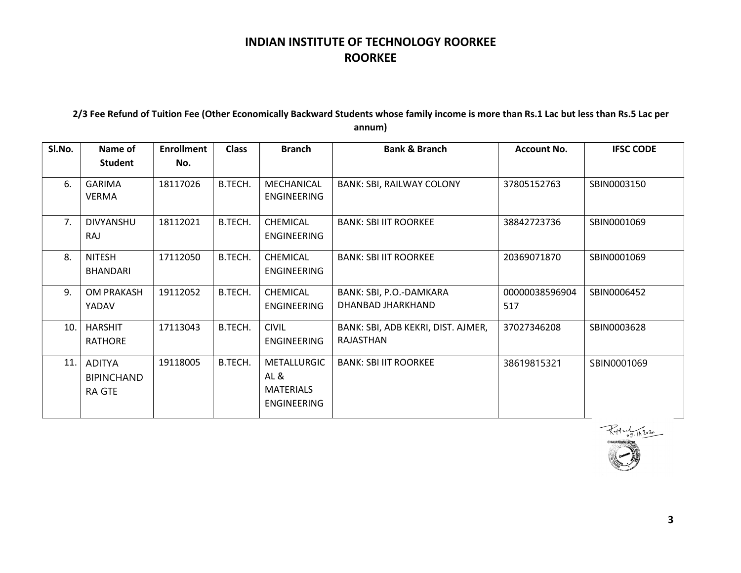#### 2/3 Fee Refund of Tuition Fee (Other Economically Backward Students whose family income is more than Rs.1 Lac but less than Rs.5 Lac per annum)

| Sl.No. | Name of<br><b>Student</b>                           | <b>Enrollment</b><br>No. | <b>Class</b> | <b>Branch</b>                                                | <b>Bank &amp; Branch</b>                        | <b>Account No.</b>    | <b>IFSC CODE</b> |
|--------|-----------------------------------------------------|--------------------------|--------------|--------------------------------------------------------------|-------------------------------------------------|-----------------------|------------------|
| 6.     | <b>GARIMA</b><br><b>VERMA</b>                       | 18117026                 | B.TECH.      | MECHANICAL<br>ENGINEERING                                    | <b>BANK: SBI, RAILWAY COLONY</b>                | 37805152763           | SBIN0003150      |
| 7.     | <b>DIVYANSHU</b><br>RAJ                             | 18112021                 | B.TECH.      | <b>CHEMICAL</b><br>ENGINEERING                               | <b>BANK: SBI IIT ROORKEE</b>                    | 38842723736           | SBIN0001069      |
| 8.     | <b>NITESH</b><br><b>BHANDARI</b>                    | 17112050                 | B.TECH.      | <b>CHEMICAL</b><br>ENGINEERING                               | <b>BANK: SBI IIT ROORKEE</b>                    | 20369071870           | SBIN0001069      |
| 9.     | <b>OM PRAKASH</b><br>YADAV                          | 19112052                 | B.TECH.      | CHEMICAL<br><b>ENGINEERING</b>                               | BANK: SBI, P.O.-DAMKARA<br>DHANBAD JHARKHAND    | 00000038596904<br>517 | SBIN0006452      |
| 10.    | <b>HARSHIT</b><br><b>RATHORE</b>                    | 17113043                 | B.TECH.      | <b>CIVIL</b><br><b>ENGINEERING</b>                           | BANK: SBI, ADB KEKRI, DIST. AJMER,<br>RAJASTHAN | 37027346208           | SBIN0003628      |
| 11.    | <b>ADITYA</b><br><b>BIPINCHAND</b><br><b>RA GTE</b> | 19118005                 | B.TECH.      | METALLURGIC<br>AL&<br><b>MATERIALS</b><br><b>ENGINEERING</b> | <b>BANK: SBI IIT ROORKEE</b>                    | 38619815321           | SBIN0001069      |

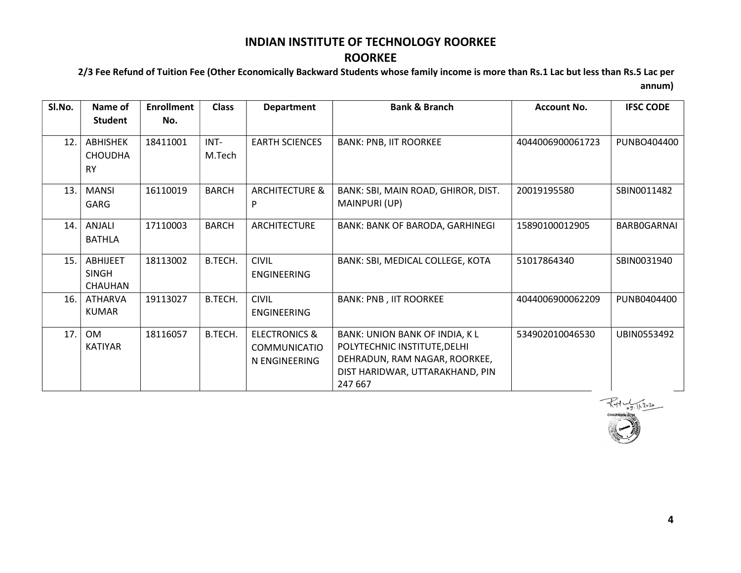## ROORKEE

2/3 Fee Refund of Tuition Fee (Other Economically Backward Students whose family income is more than Rs.1 Lac but less than Rs.5 Lac per

annum)

| Sl.No. | Name of                                        | <b>Enrollment</b> | <b>Class</b>   | <b>Department</b>                                                | <b>Bank &amp; Branch</b>                                                                                                                      | <b>Account No.</b> | <b>IFSC CODE</b>   |
|--------|------------------------------------------------|-------------------|----------------|------------------------------------------------------------------|-----------------------------------------------------------------------------------------------------------------------------------------------|--------------------|--------------------|
|        | Student                                        | No.               |                |                                                                  |                                                                                                                                               |                    |                    |
| 12.    | <b>ABHISHEK</b><br><b>CHOUDHA</b><br><b>RY</b> | 18411001          | INT-<br>M.Tech | <b>EARTH SCIENCES</b>                                            | <b>BANK: PNB, IIT ROORKEE</b>                                                                                                                 | 4044006900061723   | PUNBO404400        |
| 13.1   | <b>MANSI</b><br>GARG                           | 16110019          | <b>BARCH</b>   | <b>ARCHITECTURE &amp;</b><br>P                                   | BANK: SBI, MAIN ROAD, GHIROR, DIST.<br>MAINPURI (UP)                                                                                          | 20019195580        | SBIN0011482        |
| 14.    | ANJALI<br><b>BATHLA</b>                        | 17110003          | <b>BARCH</b>   | <b>ARCHITECTURE</b>                                              | <b>BANK: BANK OF BARODA, GARHINEGI</b>                                                                                                        | 15890100012905     | <b>BARBOGARNAI</b> |
| 15.    | ABHIJEET<br><b>SINGH</b><br>CHAUHAN            | 18113002          | B.TECH.        | <b>CIVIL</b><br><b>ENGINEERING</b>                               | BANK: SBI, MEDICAL COLLEGE, KOTA                                                                                                              | 51017864340        | SBIN0031940        |
| 16.    | <b>ATHARVA</b><br><b>KUMAR</b>                 | 19113027          | B.TECH.        | <b>CIVIL</b><br>ENGINEERING                                      | <b>BANK: PNB, IIT ROORKEE</b>                                                                                                                 | 4044006900062209   | PUNB0404400        |
| 17.    | <b>OM</b><br>KATIYAR                           | 18116057          | B.TECH.        | <b>ELECTRONICS &amp;</b><br><b>COMMUNICATIO</b><br>N ENGINEERING | BANK: UNION BANK OF INDIA, K L<br>POLYTECHNIC INSTITUTE, DELHI<br>DEHRADUN, RAM NAGAR, ROORKEE,<br>DIST HARIDWAR, UTTARAKHAND, PIN<br>247 667 | 534902010046530    | UBIN0553492        |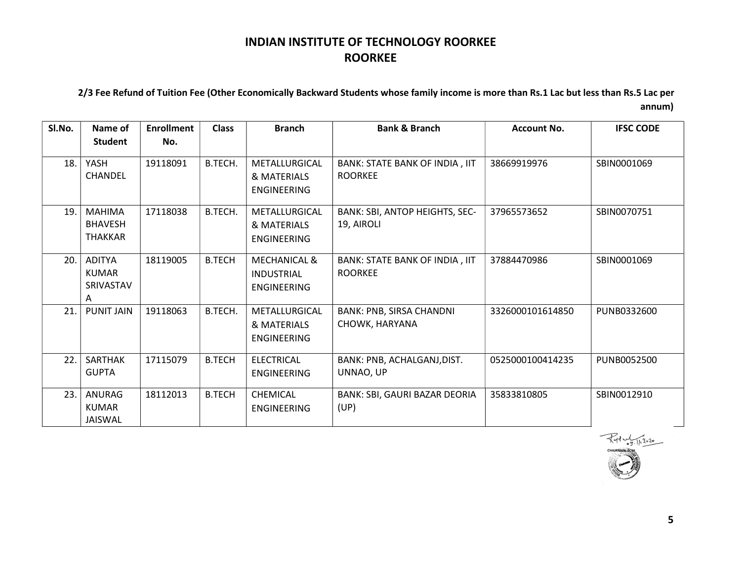#### 2/3 Fee Refund of Tuition Fee (Other Economically Backward Students whose family income is more than Rs.1 Lac but less than Rs.5 Lac per annum)

| SI.No. | Name of<br><b>Student</b>                       | <b>Enrollment</b><br>No. | <b>Class</b>  | <b>Branch</b>                                                      | <b>Bank &amp; Branch</b>                          | <b>Account No.</b> | <b>IFSC CODE</b> |
|--------|-------------------------------------------------|--------------------------|---------------|--------------------------------------------------------------------|---------------------------------------------------|--------------------|------------------|
| 18.    | YASH<br><b>CHANDEL</b>                          | 19118091                 | B.TECH.       | METALLURGICAL<br>& MATERIALS<br><b>ENGINEERING</b>                 | BANK: STATE BANK OF INDIA, IIT<br><b>ROORKEE</b>  | 38669919976        | SBIN0001069      |
| 19.    | <b>MAHIMA</b><br><b>BHAVESH</b><br>THAKKAR      | 17118038                 | B.TECH.       | METALLURGICAL<br>& MATERIALS<br><b>ENGINEERING</b>                 | BANK: SBI, ANTOP HEIGHTS, SEC-<br>19, AIROLI      | 37965573652        | SBIN0070751      |
| 20.    | <b>ADITYA</b><br><b>KUMAR</b><br>SRIVASTAV<br>A | 18119005                 | <b>B.TECH</b> | <b>MECHANICAL &amp;</b><br><b>INDUSTRIAL</b><br><b>ENGINEERING</b> | BANK: STATE BANK OF INDIA, IIT<br><b>ROORKEE</b>  | 37884470986        | SBIN0001069      |
| 21.    | <b>PUNIT JAIN</b>                               | 19118063                 | B.TECH.       | METALLURGICAL<br>& MATERIALS<br><b>ENGINEERING</b>                 | <b>BANK: PNB, SIRSA CHANDNI</b><br>CHOWK, HARYANA | 3326000101614850   | PUNB0332600      |
| 22.    | <b>SARTHAK</b><br><b>GUPTA</b>                  | 17115079                 | <b>B.TECH</b> | <b>ELECTRICAL</b><br><b>ENGINEERING</b>                            | BANK: PNB, ACHALGANJ, DIST.<br>UNNAO, UP          | 0525000100414235   | PUNB0052500      |
| 23.    | ANURAG<br><b>KUMAR</b><br>JAISWAL               | 18112013                 | <b>B.TECH</b> | CHEMICAL<br><b>ENGINEERING</b>                                     | BANK: SBI, GAURI BAZAR DEORIA<br>(UP)             | 35833810805        | SBIN0012910      |



5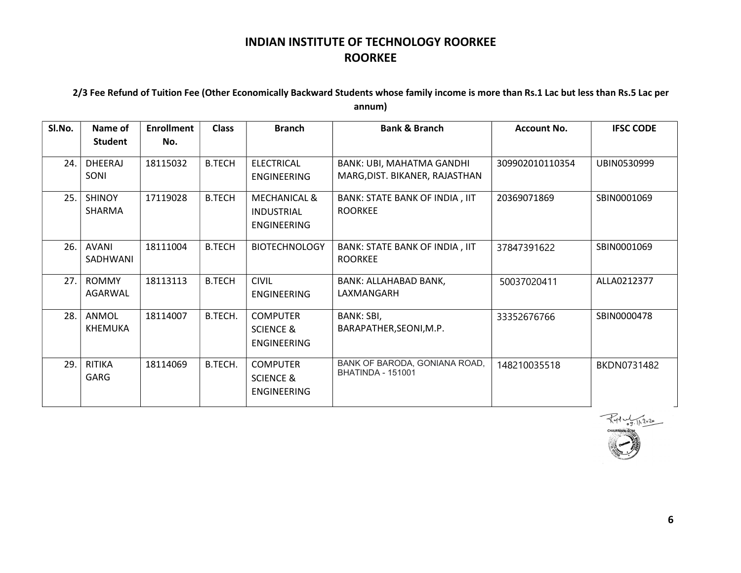#### 2/3 Fee Refund of Tuition Fee (Other Economically Backward Students whose family income is more than Rs.1 Lac but less than Rs.5 Lac per annum)

| Sl.No. | Name of                 | <b>Enrollment</b> | <b>Class</b>  | <b>Branch</b>                                                      | <b>Bank &amp; Branch</b>                                                       | Account No.  | <b>IFSC CODE</b> |
|--------|-------------------------|-------------------|---------------|--------------------------------------------------------------------|--------------------------------------------------------------------------------|--------------|------------------|
|        | Student                 | No.               |               |                                                                    |                                                                                |              |                  |
| 24.    | DHEERAJ<br>SONI         | 18115032          | <b>B.TECH</b> | <b>ELECTRICAL</b><br><b>ENGINEERING</b>                            | 309902010110354<br>BANK: UBI, MAHATMA GANDHI<br>MARG, DIST. BIKANER, RAJASTHAN |              | UBIN0530999      |
| 25.    | <b>SHINOY</b><br>SHARMA | 17119028          | <b>B.TECH</b> | <b>MECHANICAL &amp;</b><br><b>INDUSTRIAL</b><br><b>ENGINEERING</b> | 20369071869<br>BANK: STATE BANK OF INDIA, IIT<br><b>ROORKEE</b>                |              | SBIN0001069      |
| 26.    | AVANI<br>SADHWANI       | 18111004          | <b>B.TECH</b> | <b>BIOTECHNOLOGY</b>                                               | BANK: STATE BANK OF INDIA, IIT<br><b>ROORKEE</b>                               | 37847391622  | SBIN0001069      |
| 27.    | <b>ROMMY</b><br>AGARWAL | 18113113          | <b>B.TECH</b> | <b>CIVIL</b><br><b>ENGINEERING</b>                                 | BANK: ALLAHABAD BANK,<br>LAXMANGARH                                            | 50037020411  | ALLA0212377      |
| 28.    | ANMOL<br><b>KHEMUKA</b> | 18114007          | B.TECH.       | <b>COMPUTER</b><br><b>SCIENCE &amp;</b><br><b>ENGINEERING</b>      | BANK: SBI,<br>BARAPATHER, SEONI, M.P.                                          | 33352676766  | SBIN0000478      |
| 29.    | <b>RITIKA</b><br>GARG   | 18114069          | B.TECH.       | <b>COMPUTER</b><br><b>SCIENCE &amp;</b><br><b>ENGINEERING</b>      | BANK OF BARODA, GONIANA ROAD,<br><b>BHATINDA - 151001</b>                      | 148210035518 | BKDN0731482      |



6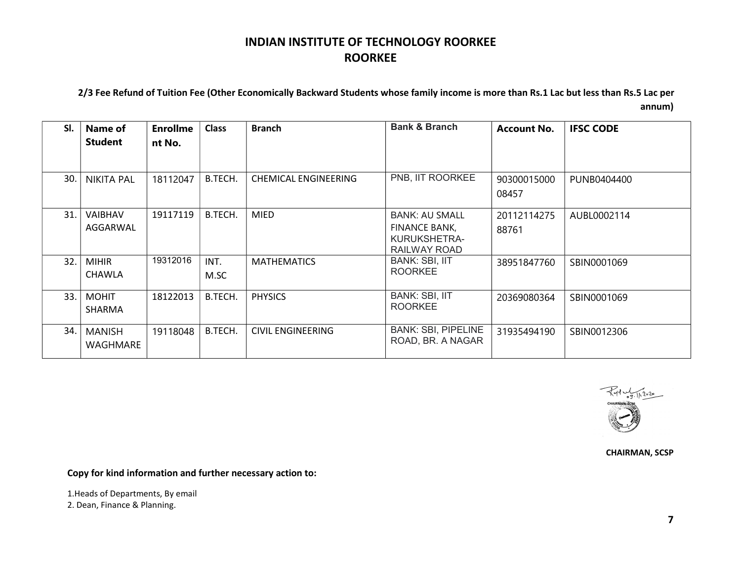#### 2/3 Fee Refund of Tuition Fee (Other Economically Backward Students whose family income is more than Rs.1 Lac but less than Rs.5 Lac per annum)

| SI.  | Name of<br><b>Student</b>     | <b>Enrollme</b><br>nt No. | <b>Class</b> | <b>Branch</b>               | <b>Bank &amp; Branch</b>                                               | <b>Account No.</b>   | <b>IFSC CODE</b> |
|------|-------------------------------|---------------------------|--------------|-----------------------------|------------------------------------------------------------------------|----------------------|------------------|
| 30.  | <b>NIKITA PAL</b>             | 18112047                  | B.TECH.      | <b>CHEMICAL ENGINEERING</b> | PNB, IIT ROORKEE                                                       | 90300015000<br>08457 | PUNB0404400      |
| 31.  | <b>VAIBHAV</b><br>AGGARWAL    | 19117119                  | B.TECH.      | <b>MIED</b>                 | <b>BANK: AU SMALL</b><br>FINANCE BANK,<br>KURUKSHETRA-<br>RAILWAY ROAD | 20112114275<br>88761 | AUBL0002114      |
| 32.1 | <b>MIHIR</b><br><b>CHAWLA</b> | 19312016                  | INT.<br>M.SC | <b>MATHEMATICS</b>          | <b>BANK: SBI, IIT</b><br><b>ROORKEE</b>                                | 38951847760          | SBIN0001069      |
| 33.  | <b>MOHIT</b><br><b>SHARMA</b> | 18122013                  | B.TECH.      | <b>PHYSICS</b>              | <b>BANK: SBI, IIT</b><br><b>ROORKEE</b>                                | 20369080364          | SBIN0001069      |
| 34.  | <b>MANISH</b><br>WAGHMARE     | 19118048                  | B.TECH.      | <b>CIVIL ENGINEERING</b>    | <b>BANK: SBI, PIPELINE</b><br>ROAD, BR. A NAGAR                        | 31935494190          | SBIN0012306      |



CHAIRMAN, SCSP

Copy for kind information and further necessary action to:

1.Heads of Departments, By email

2. Dean, Finance & Planning.